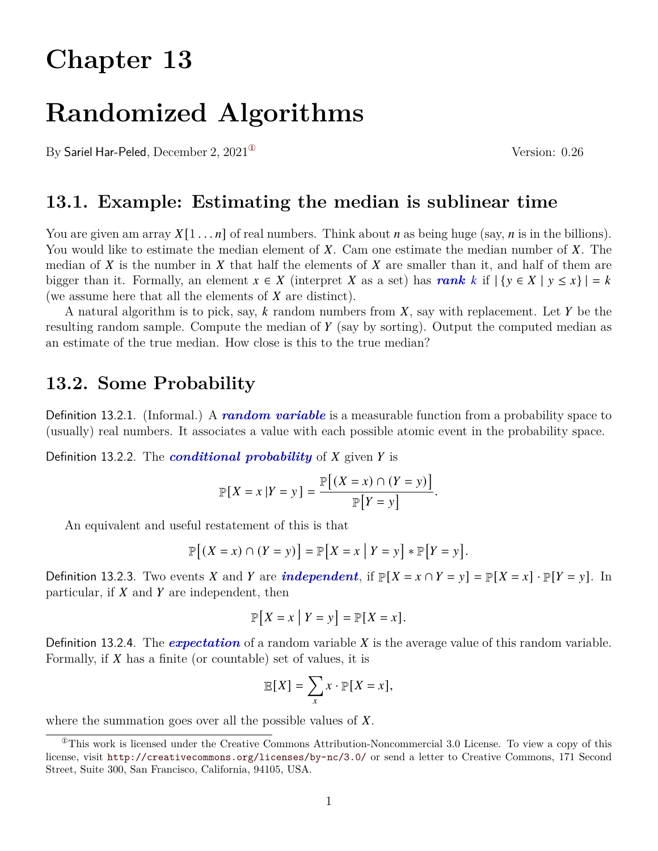# **Chapter 13**

# **Randomized Algorithms**

By Sariel Har-Peled, December 2,  $2021^{\circ}$  Version: 0.26

**13.1. Example: Estimating the median is sublinear time**

You are given am array  $X[1 \dots n]$  of real numbers. Think about *n* as being huge (say, *n* is in the billions). You would like to estimate the median element of X. Cam one estimate the median number of X. The median of X is the number in X that half the elements of X are smaller than it, and half of them are bigger than it. Formally, an element  $x \in X$  (interpret X as a set) has **rank** k if  $|\{y \in X | y \le x\}| = k$ (we assume here that all the elements of  $X$  are distinct).

A natural algorithm is to pick, say,  $k$  random numbers from  $X$ , say with replacement. Let  $Y$  be the resulting random sample. Compute the median of  $Y$  (say by sorting). Output the computed median as an estimate of the true median. How close is this to the true median?

## **13.2. Some Probability**

Definition 13.2.1. (Informal.) A *random variable* is a measurable function from a probability space to (usually) real numbers. It associates a value with each possible atomic event in the probability space.

Definition 13.2.2. The *conditional probability* of X given Y is

$$
\mathbb{P}[X = x | Y = y] = \frac{\mathbb{P}[(X = x) \cap (Y = y)]}{\mathbb{P}[Y = y]}.
$$

An equivalent and useful restatement of this is that

$$
\mathbb{P}[(X = x) \cap (Y = y)] = \mathbb{P}[X = x | Y = y] * \mathbb{P}[Y = y].
$$

Definition 13.2.3. Two events X and Y are *independent*, if  $\mathbb{P}[X = x \cap Y = y] = \mathbb{P}[X = x] \cdot \mathbb{P}[Y = y]$ . In particular, if  $X$  and  $Y$  are independent, then

$$
\mathbb{P}[X = x | Y = y] = \mathbb{P}[X = x].
$$

Definition 13.2.4. The *expectation* of a random variable  $X$  is the average value of this random variable. Formally, if  $X$  has a finite (or countable) set of values, it is

$$
\mathbb{E}[X] = \sum_{x} x \cdot \mathbb{P}[X = x],
$$

where the summation goes over all the possible values of  $X$ .

<span id="page-0-0"></span> $^{\circ}$ This work is licensed under the Creative Commons Attribution-Noncommercial 3.0 License. To view a copy of this license, visit <http://creativecommons.org/licenses/by-nc/3.0/> or send a letter to Creative Commons, 171 Second Street, Suite 300, San Francisco, California, 94105, USA.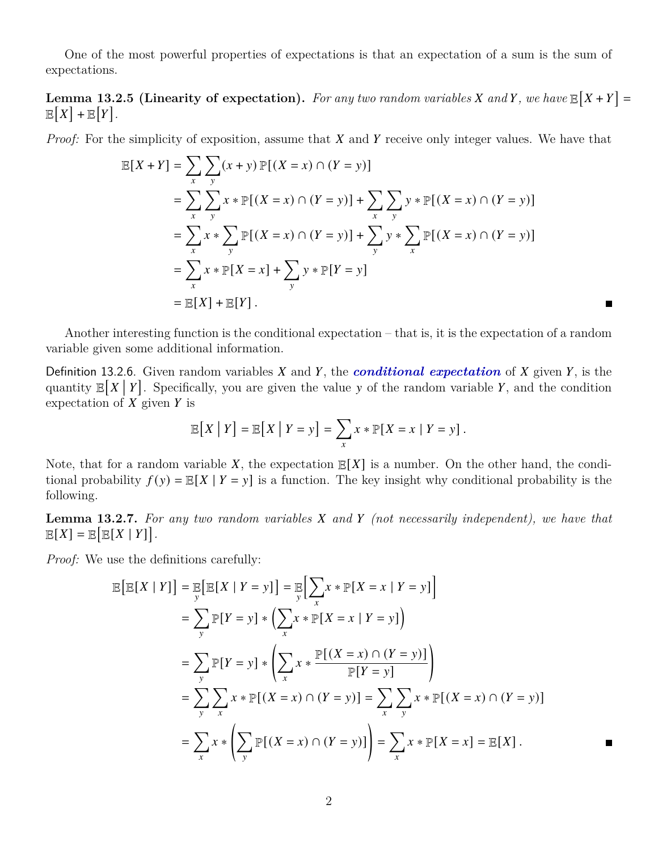One of the most powerful properties of expectations is that an expectation of a sum is the sum of expectations.

**Lemma 13.2.5 (Linearity of expectation).** For any two random variables X and Y, we have  $\mathbb{E}[X+Y] =$  $\mathbb{E}[X] + \mathbb{E}[Y].$ 

*Proof:* For the simplicity of exposition, assume that  $X$  and  $Y$  receive only integer values. We have that

$$
\mathbb{E}[X+Y] = \sum_{x} \sum_{y} (x+y) \mathbb{P}[(X=x) \cap (Y=y)]
$$
  
=  $\sum_{x} \sum_{y} x * \mathbb{P}[(X=x) \cap (Y=y)] + \sum_{x} \sum_{y} y * \mathbb{P}[(X=x) \cap (Y=y)]$   
=  $\sum_{x} x * \sum_{y} \mathbb{P}[(X=x) \cap (Y=y)] + \sum_{y} y * \sum_{x} \mathbb{P}[(X=x) \cap (Y=y)]$   
=  $\sum_{x} x * \mathbb{P}[X=x] + \sum_{y} y * \mathbb{P}[Y=y]$   
=  $\mathbb{E}[X] + \mathbb{E}[Y].$ 

Another interesting function is the conditional expectation – that is, it is the expectation of a random variable given some additional information.

Definition 13.2.6. Given random variables  $X$  and  $Y$ , the **conditional expectation** of  $X$  given  $Y$ , is the quantity  $\mathbb{E}[X \mid Y]$ . Specifically, you are given the value y of the random variable Y, and the condition expectation of  $\overline{X}$  given  $\overline{Y}$  is

$$
\mathbb{E}[X | Y] = \mathbb{E}[X | Y = y] = \sum_{x} x * \mathbb{P}[X = x | Y = y].
$$

Note, that for a random variable X, the expectation  $\mathbb{E}[X]$  is a number. On the other hand, the conditional probability  $f(y) = \mathbb{E}[X | Y = y]$  is a function. The key insight why conditional probability is the following.

**Lemma 13.2.7.** For any two random variables X and Y (not necessarily independent), we have that  $\mathbb{E}[X] = \mathbb{E}[\mathbb{E}[X | Y]].$ 

*Proof:* We use the definitions carefully:

$$
\mathbb{E}\left[\mathbb{E}[X \mid Y]\right] = \mathbb{E}\left[\mathbb{E}[X \mid Y = y]\right] = \mathbb{E}\left[\sum_{x} x * \mathbb{P}[X = x \mid Y = y]\right]
$$
  
\n
$$
= \sum_{y} \mathbb{P}[Y = y] * \left(\sum_{x} x * \mathbb{P}[X = x \mid Y = y]\right)
$$
  
\n
$$
= \sum_{y} \mathbb{P}[Y = y] * \left(\sum_{x} x * \frac{\mathbb{P}[(X = x) \cap (Y = y)]}{\mathbb{P}[Y = y]}\right)
$$
  
\n
$$
= \sum_{y} \sum_{x} x * \mathbb{P}[(X = x) \cap (Y = y)] = \sum_{x} \sum_{y} x * \mathbb{P}[(X = x) \cap (Y = y)]
$$
  
\n
$$
= \sum_{x} x * \left(\sum_{y} \mathbb{P}[(X = x) \cap (Y = y)]\right) = \sum_{x} x * \mathbb{P}[X = x] = \mathbb{E}[X].
$$

 $\blacksquare$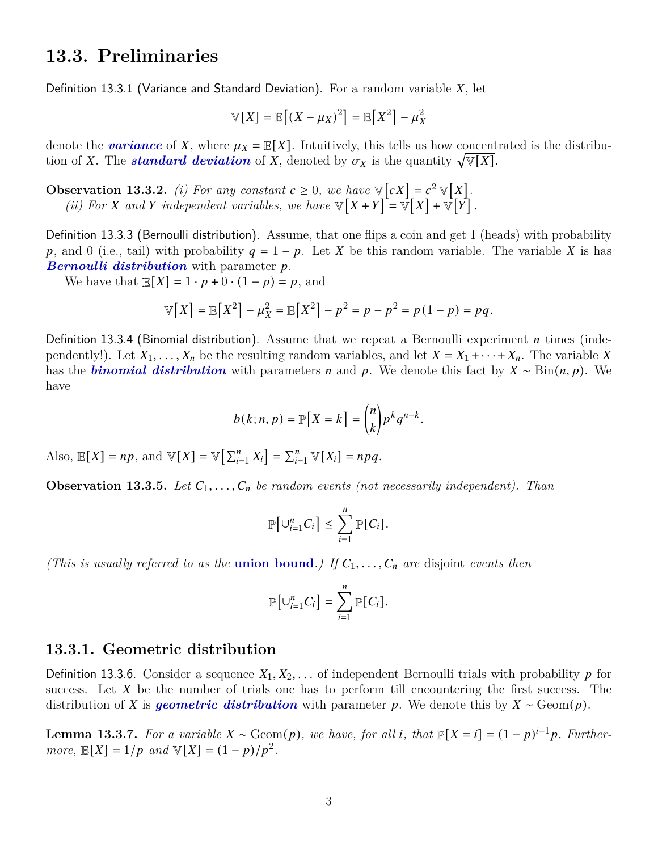## **13.3. Preliminaries**

Definition 13.3.1 (Variance and Standard Deviation). For a random variable  $X$ , let

$$
\mathbb{V}[X] = \mathbb{E}[(X - \mu_X)^2] = \mathbb{E}[X^2] - \mu_X^2
$$

denote the *variance* of X, where  $\mu_X = \mathbb{E}[X]$ . Intuitively, this tells us how concentrated is the distribution of X. The *standard deviation* of X, denoted by  $\sigma_X$  is the quantity  $\sqrt{\mathbb{V}[X]}$ .

**Observation 13.3.2.** *(i) For any constant*  $c \geq 0$ *, we have*  $\mathbb{V}[cX] = c^2 \mathbb{V}[X]$ *.* (*ii*) For X and Y independent variables, we have  $\mathbb{V}[X+Y] = \mathbb{V}[X] + \mathbb{V}[Y]$ .

Definition 13.3.3 (Bernoulli distribution). Assume, that one flips a coin and get 1 (heads) with probability p, and 0 (i.e., tail) with probability  $q = 1 - p$ . Let X be this random variable. The variable X is has *Bernoulli distribution* with parameter p.

We have that  $\mathbb{E}[X] = 1 \cdot p + 0 \cdot (1 - p) = p$ , and

$$
\mathbb{V}[X] = \mathbb{E}[X^2] - \mu_X^2 = \mathbb{E}[X^2] - p^2 = p - p^2 = p(1-p) = pq.
$$

Definition 13.3.4 (Binomial distribution). Assume that we repeat a Bernoulli experiment *n* times (independently!). Let  $X_1, \ldots, X_n$  be the resulting random variables, and let  $X = X_1 + \cdots + X_n$ . The variable X has the *binomial distribution* with parameters *n* and *p*. We denote this fact by  $X \sim \text{Bin}(n, p)$ . We have

$$
b(k; n, p) = \mathbb{P}[X = k] = {n \choose k} p^k q^{n-k}.
$$

Also,  $\mathbb{E}[X] = np$ , and  $\mathbb{V}[X] = \mathbb{V}[\sum_{i=1}^{n} X_i] = \sum_{i=1}^{n} \mathbb{V}[X_i] = npq$ .

**Observation 13.3.5.** Let  $C_1, \ldots, C_n$  be random events (not necessarily independent). Than

$$
\mathbb{P}\big[\cup_{i=1}^n C_i\big] \leq \sum_{i=1}^n \mathbb{P}[C_i].
$$

*(This is usually referred to as the union bound.) If*  $C_1, \ldots, C_n$  *are disjoint <i>events then* 

$$
\mathbb{P}\big[\cup_{i=1}^n C_i\big]=\sum_{i=1}^n \mathbb{P}[C_i].
$$

#### **13.3.1. Geometric distribution**

**Definition 13.3.6.** Consider a sequence  $X_1, X_2, \ldots$  of independent Bernoulli trials with probability p for success. Let  $X$  be the number of trials one has to perform till encountering the first success. The distribution of X is *geometric distribution* with parameter p. We denote this by  $X \sim \text{Geom}(p)$ .

**Lemma 13.3.7.** For a variable  $X \sim \text{Geom}(p)$ , we have, for all *i*, that  $\mathbb{P}[X = i] = (1 - p)^{i-1}p$ . Further*more,*  $\mathbb{E}[X] = 1/p$  *and*  $\mathbb{V}[X] = (1 - p)/p^2$ *.*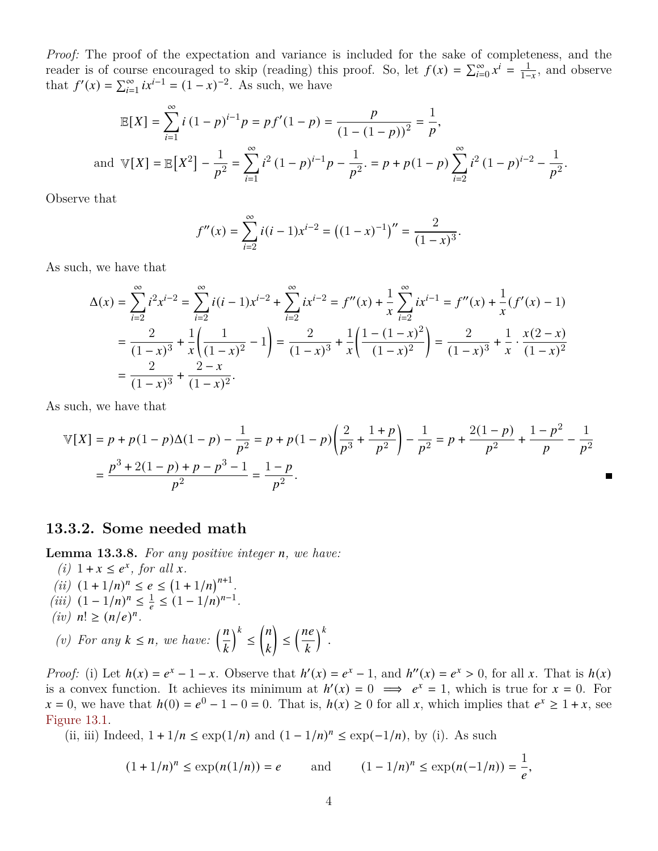*Proof:* The proof of the expectation and variance is included for the sake of completeness, and the reader is of course encouraged to skip (reading) this proof. So, let  $f(x) = \sum_{i=0}^{\infty} x^{i} = \frac{1}{1-x}$ , and observe that  $f'(x) = \sum_{i=1}^{\infty} ix^{i-1} = (1-x)^{-2}$ . As such, we have

$$
\mathbb{E}[X] = \sum_{i=1}^{\infty} i (1-p)^{i-1} p = pf'(1-p) = \frac{p}{(1-(1-p))^2} = \frac{1}{p},
$$
  
and  $\mathbb{V}[X] = \mathbb{E}[X^2] - \frac{1}{p^2} = \sum_{i=1}^{\infty} i^2 (1-p)^{i-1} p - \frac{1}{p^2} = p + p(1-p) \sum_{i=2}^{\infty} i^2 (1-p)^{i-2} - \frac{1}{p^2}.$ 

Observe that

$$
f''(x) = \sum_{i=2}^{\infty} i(i-1)x^{i-2} = ((1-x)^{-1})'' = \frac{2}{(1-x)^3}.
$$

As such, we have that

$$
\Delta(x) = \sum_{i=2}^{\infty} i^2 x^{i-2} = \sum_{i=2}^{\infty} i(i-1)x^{i-2} + \sum_{i=2}^{\infty} ix^{i-2} = f''(x) + \frac{1}{x} \sum_{i=2}^{\infty} ix^{i-1} = f''(x) + \frac{1}{x} (f'(x) - 1)
$$
  
= 
$$
\frac{2}{(1-x)^3} + \frac{1}{x} \left( \frac{1}{(1-x)^2} - 1 \right) = \frac{2}{(1-x)^3} + \frac{1}{x} \left( \frac{1 - (1-x)^2}{(1-x)^2} \right) = \frac{2}{(1-x)^3} + \frac{1}{x} \cdot \frac{x(2-x)}{(1-x)^2}
$$
  
= 
$$
\frac{2}{(1-x)^3} + \frac{2-x}{(1-x)^2}.
$$

As such, we have that

$$
\mathbb{V}[X] = p + p(1-p)\Delta(1-p) - \frac{1}{p^2} = p + p(1-p)\left(\frac{2}{p^3} + \frac{1+p}{p^2}\right) - \frac{1}{p^2} = p + \frac{2(1-p)}{p^2} + \frac{1-p^2}{p} - \frac{1}{p^2}
$$

$$
= \frac{p^3 + 2(1-p) + p - p^3 - 1}{p^2} = \frac{1-p}{p^2}.
$$

 $\blacksquare$ 

### **13.3.2. Some needed math**

**Lemma 13.3.8.** For any positive integer *n*, we have:

(*i*)  $1 + x \leq e^x$ , for all *x*. *(ii)*  $(1 + 1/n)^n \le e \le (1 + 1/n)^{n+1}$ .  $(iii)$   $(1 - 1/n)^n \leq \frac{1}{e} \leq (1 - 1/n)^{n-1}$ .  $(iv)$   $n! \ge (n/e)^n$ . *(v)* For any  $k \leq n$ , we have:  $\left(\frac{n}{l}\right)$  $\overline{k}$  $\big)^k \leq$  $\sqrt{n}$  $\overline{k}$ Ι  $\leq \left(\frac{ne}{1}\right)$  $\overline{k}$  $\big)^k$ .

*Proof:* (i) Let  $h(x) = e^x - 1 - x$ . Observe that  $h'(x) = e^x - 1$ , and  $h''(x) = e^x > 0$ , for all x. That is  $h(x)$ is a convex function. It achieves its minimum at  $h'(x) = 0 \implies e^x = 1$ , which is true for  $x = 0$ . For  $x = 0$ , we have that  $h(0) = e^{0} - 1 - 0 = 0$ . That is,  $h(x) \ge 0$  for all x, which implies that  $e^{x} \ge 1 + x$ , see [Figure 13.1.](#page-4-0)

(ii, iii) Indeed,  $1 + 1/n \le \exp(1/n)$  and  $(1 - 1/n)^n \le \exp(-1/n)$ , by (i). As such

$$
(1 + 1/n)^n \le \exp(n(1/n)) = e \qquad \text{and} \qquad (1 - 1/n)^n \le \exp(n(-1/n)) = \frac{1}{e},
$$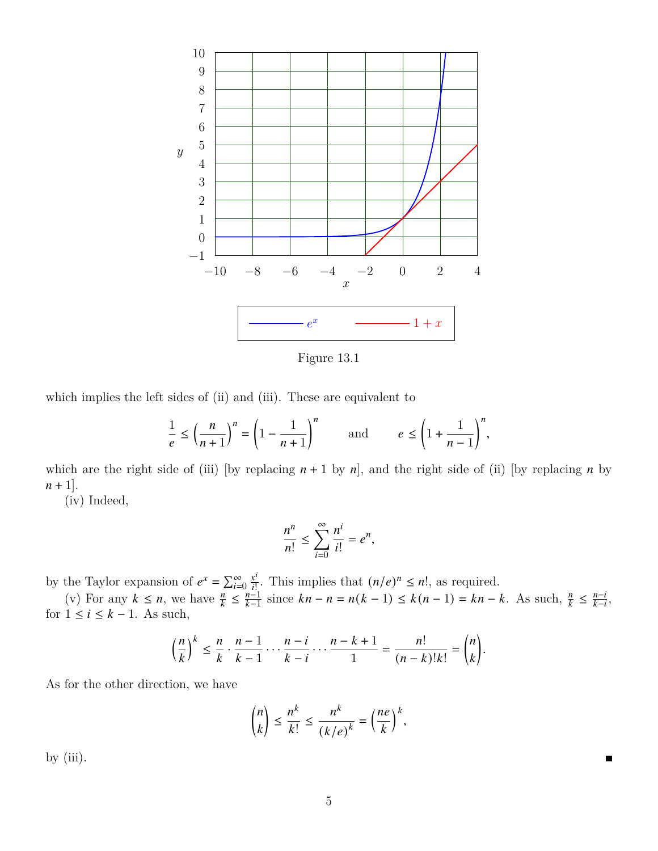<span id="page-4-0"></span>

Figure 13.1

which implies the left sides of (ii) and (iii). These are equivalent to

$$
\frac{1}{e} \le \left(\frac{n}{n+1}\right)^n = \left(1 - \frac{1}{n+1}\right)^n \quad \text{and} \quad e \le \left(1 + \frac{1}{n-1}\right)^n,
$$

which are the right side of (iii) [by replacing  $n + 1$  by  $n$ ], and the right side of (ii) [by replacing  $n$  by  $n + 1$ .

(iv) Indeed,

$$
\frac{n^n}{n!} \le \sum_{i=0}^{\infty} \frac{n^i}{i!} = e^n,
$$

by the Taylor expansion of  $e^x = \sum_{i=0}^{\infty} \frac{x^i}{i!}$  $\frac{x^i}{i!}$ . This implies that  $(n/e)^n \leq n!$ , as required.

(v) For any  $k \leq n$ , we have  $\frac{n}{k} \leq \frac{n-1}{k-1}$  $\frac{n!}{k-1}$  since  $kn - n = n(k - 1) \le k(n - 1) = kn - k$ . As such,  $\frac{n}{k} \le \frac{n - i}{k - i}$  $\frac{n-i}{k-i}$ , for  $1 \leq i \leq k-1$ . As such,

$$
\left(\frac{n}{k}\right)^k \leq \frac{n}{k} \cdot \frac{n-1}{k-1} \cdot \cdot \cdot \frac{n-i}{k-i} \cdot \cdot \cdot \frac{n-k+1}{1} = \frac{n!}{(n-k)!k!} = \binom{n}{k}.
$$

As for the other direction, we have

$$
\binom{n}{k} \le \frac{n^k}{k!} \le \frac{n^k}{(k/e)^k} = \left(\frac{ne}{k}\right)^k,
$$

 $\blacksquare$ 

by  $(iii)$ .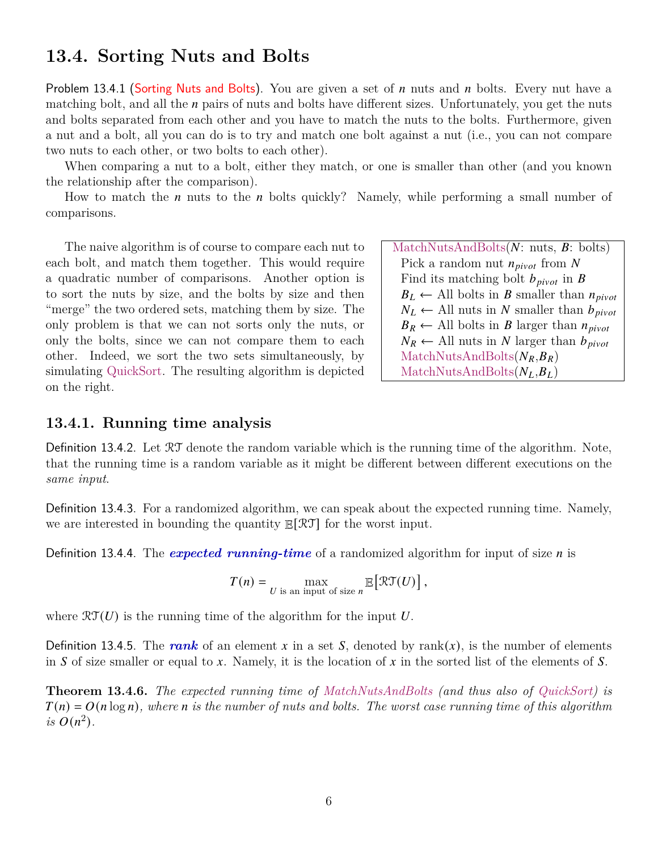## **13.4. Sorting Nuts and Bolts**

Problem 13.4.1 (Sorting Nuts and Bolts). You are given a set of  $n$  nuts and  $n$  bolts. Every nut have a matching bolt, and all the  $n$  pairs of nuts and bolts have different sizes. Unfortunately, you get the nuts and bolts separated from each other and you have to match the nuts to the bolts. Furthermore, given a nut and a bolt, all you can do is to try and match one bolt against a nut (i.e., you can not compare two nuts to each other, or two bolts to each other).

When comparing a nut to a bolt, either they match, or one is smaller than other (and you known the relationship after the comparison).

How to match the  $n$  nuts to the  $n$  bolts quickly? Namely, while performing a small number of comparisons.

The naive algorithm is of course to compare each nut to each bolt, and match them together. This would require a quadratic number of comparisons. Another option is to sort the nuts by size, and the bolts by size and then "merge" the two ordered sets, matching them by size. The only problem is that we can not sorts only the nuts, or only the bolts, since we can not compare them to each other. Indeed, we sort the two sets simultaneously, by simulating QuickSort. The resulting algorithm is depicted on the right.

| MatchNutsAndBolts $(N: nuts, B: \text{ bolts})$          |  |
|----------------------------------------------------------|--|
| Pick a random nut $n_{pivot}$ from N                     |  |
| Find its matching bolt $b_{pivot}$ in B                  |  |
| $B_L \leftarrow$ All bolts in B smaller than $n_{pivot}$ |  |
| $N_L \leftarrow$ All nuts in N smaller than $b_{pivot}$  |  |
| $B_R \leftarrow$ All bolts in B larger than $n_{pivot}$  |  |
| $N_R \leftarrow$ All nuts in N larger than $b_{pivot}$   |  |
| $MatchNutsAndBolts(N_R, B_R)$                            |  |
| $MatchNutsAndBolts(NL, BL)$                              |  |

### **13.4.1. Running time analysis**

Definition 13.4.2. Let RT denote the random variable which is the running time of the algorithm. Note, that the running time is a random variable as it might be different between different executions on the *same input*.

Definition 13.4.3. For a randomized algorithm, we can speak about the expected running time. Namely, we are interested in bounding the quantity E[RT] for the worst input.

Definition 13.4.4. The *expected running-time* of a randomized algorithm for input of size *n* is

$$
T(n) = \max_{U \textrm{ is an input of size } n} \mathbb{E}\big[\mathcal{RT}(U)\big]\,,
$$

where  $\mathcal{RT}(U)$  is the running time of the algorithm for the input U.

Definition 13.4.5. The rank of an element x in a set S, denoted by  $rank(x)$ , is the number of elements in S of size smaller or equal to x. Namely, it is the location of x in the sorted list of the elements of S.

**Theorem 13.4.6.** *The expected running time of MatchNutsAndBolts (and thus also of QuickSort) is*  $T(n) = O(n \log n)$ , where *n* is the number of nuts and bolts. The worst case running time of this algorithm *is*  $O(n^2)$ .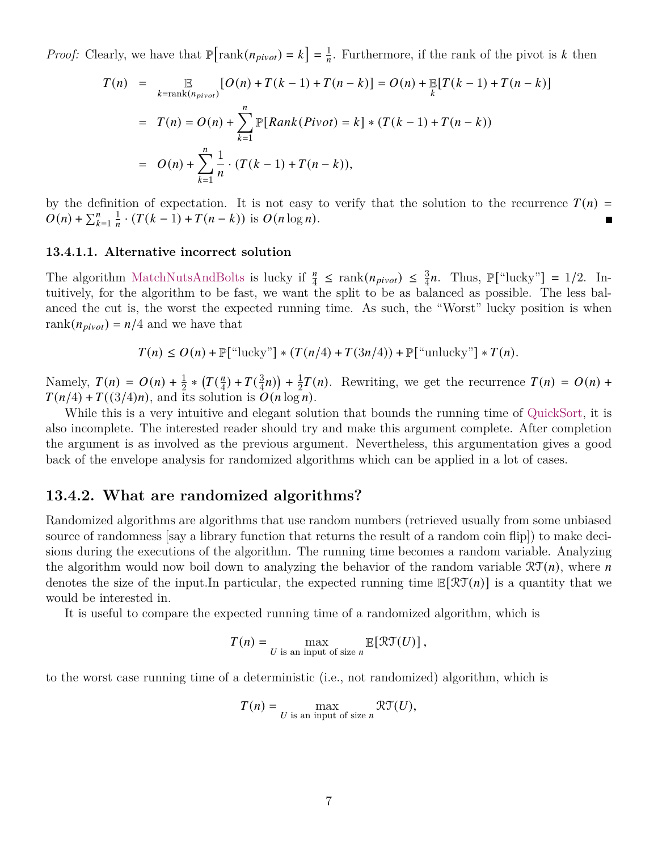*Proof:* Clearly, we have that  $\mathbb{P}[\text{rank}(n_{pivot}) = k] = \frac{1}{n}$ . Furthermore, if the rank of the pivot is k then

$$
T(n) = \mathbb{E}_{k=\text{rank}(n_{pivot})} [O(n) + T(k-1) + T(n-k)] = O(n) + \mathbb{E}[T(k-1) + T(n-k)]
$$
  
=  $T(n) = O(n) + \sum_{k=1}^{n} \mathbb{P}[Rank(Pivot) = k] * (T(k-1) + T(n-k))$   
=  $O(n) + \sum_{k=1}^{n} \frac{1}{n} \cdot (T(k-1) + T(n-k)),$ 

by the definition of expectation. It is not easy to verify that the solution to the recurrence  $T(n)$  =  $O(n) + \sum_{k=1}^{n} \frac{1}{n} \cdot (T(k-1) + T(n-k))$  is  $O(n \log n)$ .

#### **13.4.1.1. Alternative incorrect solution**

The algorithm MatchNutsAndBolts is lucky if  $\frac{n}{4} \le \text{rank}(n_{pivot}) \le \frac{3}{4}n$ . Thus,  $\mathbb{P}[\text{``lucky''}] = 1/2$ . Intuitively, for the algorithm to be fast, we want the split to be as balanced as possible. The less balanced the cut is, the worst the expected running time. As such, the "Worst" lucky position is when rank $(n_{pivot}) = n/4$  and we have that

 $T(n) \leq O(n) + \mathbb{P}[\text{``lucky'']} * (T(n/4) + T(3n/4)) + \mathbb{P}[\text{``unlucky'']} * T(n).$ 

Namely,  $T(n) = O(n) + \frac{1}{2} * (T(\frac{n}{4}))$  $(\frac{n}{4}) + T(\frac{3}{4})$  $\frac{3}{4}n) + \frac{1}{2}$  $\frac{1}{2}T(n)$ . Rewriting, we get the recurrence  $T(n) = O(n) +$  $T(n/4) + T((3/4)n)$ , and its solution is  $O(n \log n)$ .

While this is a very intuitive and elegant solution that bounds the running time of QuickSort, it is also incomplete. The interested reader should try and make this argument complete. After completion the argument is as involved as the previous argument. Nevertheless, this argumentation gives a good back of the envelope analysis for randomized algorithms which can be applied in a lot of cases.

### **13.4.2. What are randomized algorithms?**

Randomized algorithms are algorithms that use random numbers (retrieved usually from some unbiased source of randomness [say a library function that returns the result of a random coin flip]) to make decisions during the executions of the algorithm. The running time becomes a random variable. Analyzing the algorithm would now boil down to analyzing the behavior of the random variable  $\mathfrak{RT}(n)$ , where n denotes the size of the input. In particular, the expected running time  $\mathbb{E}[\mathcal{RT}(n)]$  is a quantity that we would be interested in.

It is useful to compare the expected running time of a randomized algorithm, which is

$$
T(n) = \max_{U \text{ is an input of size } n} \mathbb{E}[\mathcal{RT}(U)],
$$

to the worst case running time of a deterministic (i.e., not randomized) algorithm, which is

$$
T(n) = \max_{U \text{ is an input of size } n} \mathcal{RT}(U),
$$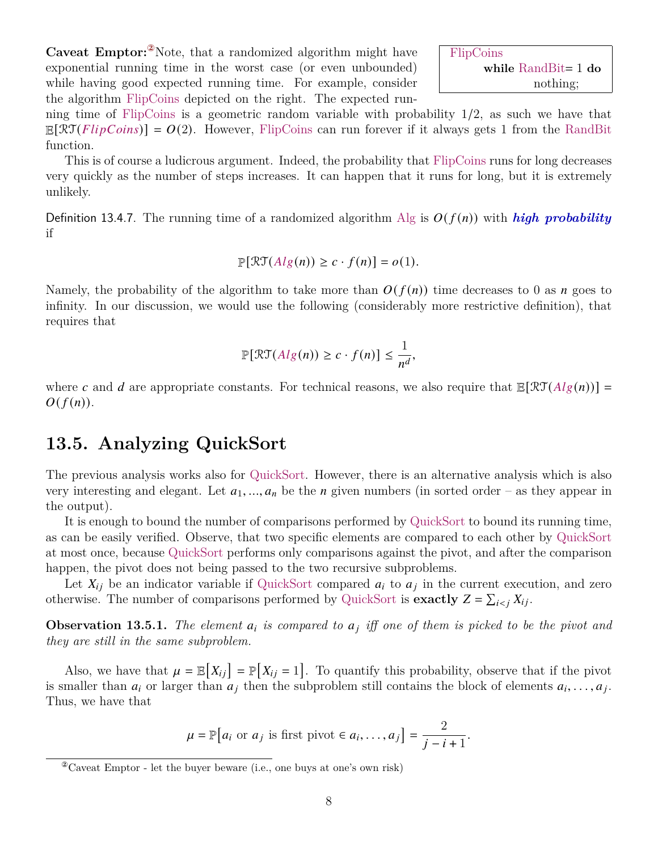8

**Caveat Emptor:**<sup>2</sup>Note, that a randomized algorithm might have exponential running time in the worst case (or even unbounded) while having good expected running time. For example, consider the algorithm FlipCoins depicted on the right. The expected run-

ning time of FlipCoins is a geometric random variable with probability 1/2, as such we have that  $\mathbb{E}[\mathcal{RT}(FlipCoins)] = O(2)$ . However, FlipCoins can run forever if it always gets 1 from the RandBit function.

This is of course a ludicrous argument. Indeed, the probability that FlipCoins runs for long decreases very quickly as the number of steps increases. It can happen that it runs for long, but it is extremely unlikely.

Definition 13.4.7. The running time of a randomized algorithm Alg is  $O(f(n))$  with *high probability* if

$$
\mathbb{P}[\mathcal{RT}(Alg(n)) \ge c \cdot f(n)] = o(1).
$$

Namely, the probability of the algorithm to take more than  $O(f(n))$  time decreases to 0 as *n* goes to infinity. In our discussion, we would use the following (considerably more restrictive definition), that requires that

$$
\mathbb{P}[\mathcal{RT}(Alg(n)) \geq c \cdot f(n)] \leq \frac{1}{n^d},
$$

where c and d are appropriate constants. For technical reasons, we also require that  $\mathbb{E}[\mathcal{RT}(Alg(n))] =$  $O(f(n)).$ 

## **13.5. Analyzing QuickSort**

The previous analysis works also for QuickSort. However, there is an alternative analysis which is also very interesting and elegant. Let  $a_1, ..., a_n$  be the *n* given numbers (in sorted order – as they appear in the output).

It is enough to bound the number of comparisons performed by QuickSort to bound its running time, as can be easily verified. Observe, that two specific elements are compared to each other by QuickSort at most once, because QuickSort performs only comparisons against the pivot, and after the comparison happen, the pivot does not being passed to the two recursive subproblems.

Let  $X_{ij}$  be an indicator variable if QuickSort compared  $a_i$  to  $a_j$  in the current execution, and zero otherwise. The number of comparisons performed by QuickSort is **exactly**  $Z = \sum_{i \leq j} X_{ij}$ .

**Observation 13.5.1.** The element  $a_i$  is compared to  $a_j$  iff one of them is picked to be the pivot and *they are still in the same subproblem.*

Also, we have that  $\mu = \mathbb{E}[X_{ij}] = \mathbb{P}[X_{ij} = 1]$ . To quantify this probability, observe that if the pivot is smaller than  $a_i$  or larger than  $a_j$  then the subproblem still contains the block of elements  $a_i, \ldots, a_j$ . Thus, we have that

$$
\mu = \mathbb{P}[a_i \text{ or } a_j \text{ is first pivot } \in a_i, \dots, a_j] = \frac{2}{j - i + 1}.
$$

<span id="page-7-0"></span><sup>②</sup>Caveat Emptor - let the buyer beware (i.e., one buys at one's own risk)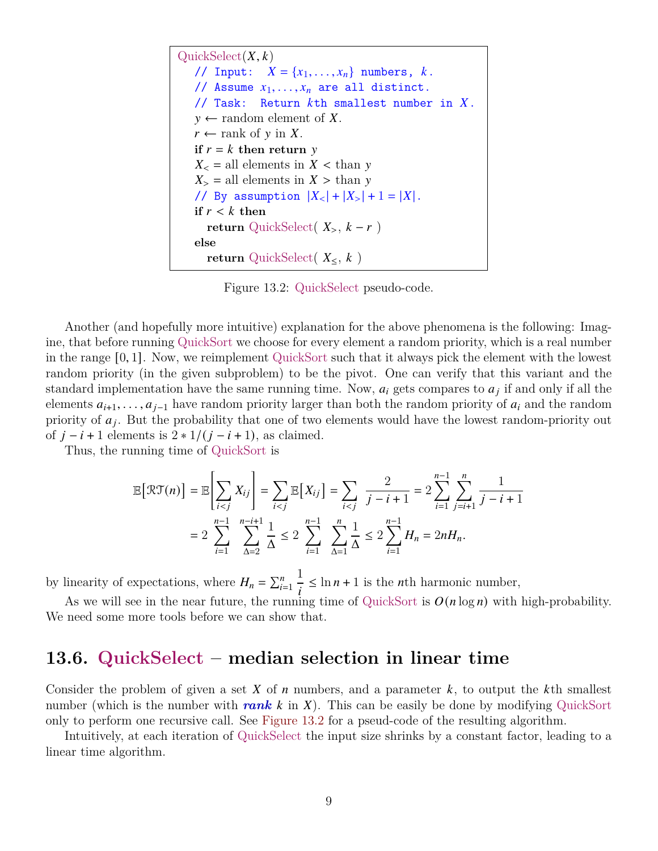```
QuickSelect(X, k)// Input: X = \{x_1, \ldots, x_n\} numbers, k.
// Assume x_1, \ldots, x_n are all distinct.
// Task: Return kth smallest number in X.
y \leftarrow random element of X.
r \leftarrow rank of y in X.
if r = k then return y
X_{\leq} = all elements in X \leq \text{than } yX_{>} = all elements in X > than y
// By assumption |X_{<}| + |X_{>}| + 1 = |X|.if r < k then
  return QuickSelect(X_>, k-r)
else
  return QuickSelect(X_{\leq}, k)
```
Figure 13.2: QuickSelect pseudo-code.

Another (and hopefully more intuitive) explanation for the above phenomena is the following: Imagine, that before running QuickSort we choose for every element a random priority, which is a real number in the range [0, 1]. Now, we reimplement QuickSort such that it always pick the element with the lowest random priority (in the given subproblem) to be the pivot. One can verify that this variant and the standard implementation have the same running time. Now,  $a_i$  gets compares to  $a_i$  if and only if all the elements  $a_{i+1}, \ldots, a_{j-1}$  have random priority larger than both the random priority of  $a_i$  and the random priority of  $a_i$ . But the probability that one of two elements would have the lowest random-priority out of  $j - i + 1$  elements is  $2 * 1/(j - i + 1)$ , as claimed.

Thus, the running time of QuickSort is

$$
\mathbb{E}\big[\mathcal{RT}(n)\big] = \mathbb{E}\bigg[\sum_{i < j} X_{ij}\bigg] = \sum_{i < j} \mathbb{E}\big[X_{ij}\big] = \sum_{i < j} \frac{2}{j - i + 1} = 2\sum_{i = 1}^{n-1} \sum_{j = i + 1}^{n} \frac{1}{j - i + 1}
$$
\n
$$
= 2\sum_{i = 1}^{n-1} \sum_{\Delta = 2}^{n-i+1} \frac{1}{\Delta} \le 2\sum_{i = 1}^{n-1} \sum_{\Delta = 1}^{n} \frac{1}{\Delta} \le 2\sum_{i = 1}^{n-1} H_n = 2nH_n.
$$

by linearity of expectations, where  $H_n = \sum_{i=1}^n$ 1  $\frac{1}{i} \leq \ln n + 1$  is the *n*th harmonic number,

As we will see in the near future, the running time of QuickSort is  $O(n \log n)$  with high-probability. We need some more tools before we can show that.

## **13.6. QuickSelect – median selection in linear time**

Consider the problem of given a set  $X$  of  $n$  numbers, and a parameter  $k$ , to output the  $k$ <sup>th</sup> smallest number (which is the number with *rank k* in X). This can be easily be done by modifying QuickSort only to perform one recursive call. See [Figure 13.2](#page-8-0) for a pseud-code of the resulting algorithm.

Intuitively, at each iteration of QuickSelect the input size shrinks by a constant factor, leading to a linear time algorithm.